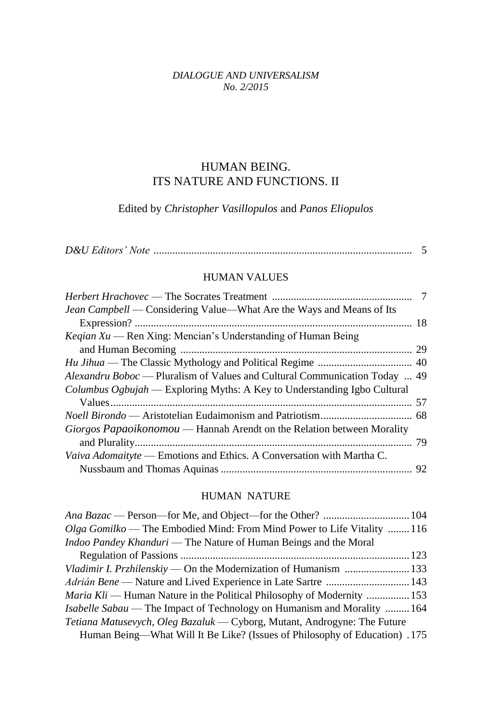#### *DIALOGUE AND UNIVERSALISM No. 2/2015*

# HUMAN BEING. ITS NATURE AND FUNCTIONS. II

Edited by *Christopher Vasillopulos* and *Panos Eliopulos*

#### HUMAN VALUES

| <i>Alexandru Boboc</i> — Pluralism of Values and Cultural Communication Today  49 |
|-----------------------------------------------------------------------------------|
|                                                                                   |
|                                                                                   |
|                                                                                   |
|                                                                                   |
|                                                                                   |
|                                                                                   |
|                                                                                   |
|                                                                                   |

### HUMAN NATURE

| Olga Gomilko — The Embodied Mind: From Mind Power to Life Vitality  116       |  |
|-------------------------------------------------------------------------------|--|
| <i>Indoo Pandey Khanduri</i> — The Nature of Human Beings and the Moral       |  |
|                                                                               |  |
| Vladimir I. Przhilenskiy — On the Modernization of Humanism  133              |  |
|                                                                               |  |
| <i>Maria Kli</i> — Human Nature in the Political Philosophy of Modernity  153 |  |
| <i>Isabelle Sabau</i> — The Impact of Technology on Humanism and Morality 164 |  |
| Tetiana Matusevych, Oleg Bazaluk — Cyborg, Mutant, Androgyne: The Future      |  |
| Human Being—What Will It Be Like? (Issues of Philosophy of Education) .175    |  |